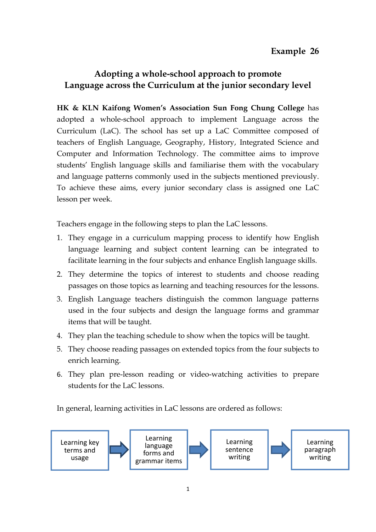## **Adopting a whole-school approach to promote Language across the Curriculum at the junior secondary level**

**HK & KLN Kaifong Women's Association Sun Fong Chung College** has adopted a whole-school approach to implement Language across the Curriculum (LaC). The school has set up a LaC Committee composed of teachers of English Language, Geography, History, Integrated Science and Computer and Information Technology. The committee aims to improve students' English language skills and familiarise them with the vocabulary and language patterns commonly used in the subjects mentioned previously. To achieve these aims, every junior secondary class is assigned one LaC lesson per week.

Teachers engage in the following steps to plan the LaC lessons.

- 1. They engage in a curriculum mapping process to identify how English language learning and subject content learning can be integrated to facilitate learning in the four subjects and enhance English language skills.
- 2. They determine the topics of interest to students and choose reading passages on those topics as learning and teaching resources for the lessons.
- 3. English Language teachers distinguish the common language patterns used in the four subjects and design the language forms and grammar items that will be taught.
- 4. They plan the teaching schedule to show when the topics will be taught.
- 5. They choose reading passages on extended topics from the four subjects to enrich learning.
- 6. They plan pre-lesson reading or video-watching activities to prepare students for the LaC lessons.

In general, learning activities in LaC lessons are ordered as follows:

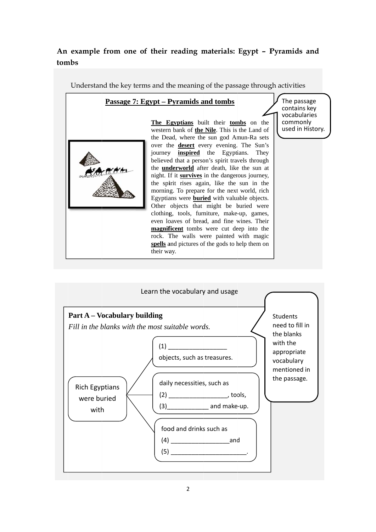## An example from one of their reading materials: Egypt - Pyramids and **tom mbs**

Understand the key terms and the meaning of the passage through activities

## **Passage 7: Egypt – Pyramids and tombs**



**The Egyptians** built their **tombs** on the western bank of **the Nile**. This is the Land of the Dead, where the sun god Amun-Ra sets over the **desert** every evening. The Sun's journey **inspired** the Egyptians. They believed that a person's spirit travels through the **underworld** after death, like the sun at night. If it **survives** in the dangerous journey, the spirit rises again, like the sun in the morning. To prepare for the next world, rich Egyptians were **buried** with valuable objects. Other objects that might be b buried were clothing, tools, furniture, make-up, games, even loaves of bread, and fine wines. Their **magnificent** tombs were cut deep into the rock. T The walls w were painted with magic spells and pictures of the gods to help them on their wa ay.

The pass sage contains key vocabularies commonly used in H History.

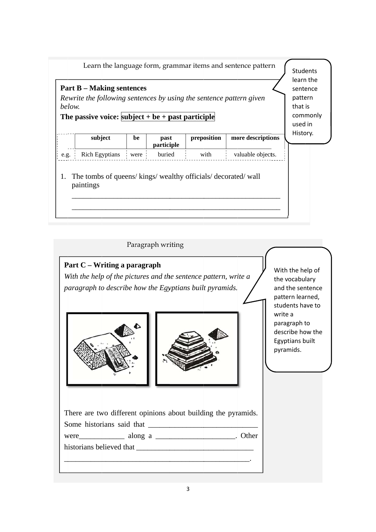| Learn the language form, grammar items and sentence pattern<br><b>Part B</b> – Making sentences<br>Rewrite the following sentences by using the sentence pattern given<br>below.<br>The passive voice: $\text{subject} + \text{be} + \text{past particle}$ |                                                                         |        |                    |             |                   |          |
|------------------------------------------------------------------------------------------------------------------------------------------------------------------------------------------------------------------------------------------------------------|-------------------------------------------------------------------------|--------|--------------------|-------------|-------------------|----------|
|                                                                                                                                                                                                                                                            | subject                                                                 | be     | past<br>participle | preposition | more descriptions | History. |
| e.g. $\vdots$                                                                                                                                                                                                                                              | <b>Rich Egyptians</b>                                                   | were : | buried             | with        | valuable objects. |          |
| 1.                                                                                                                                                                                                                                                         | The tombs of queens/kings/wealthy officials/decorated/wall<br>paintings |        |                    |             |                   |          |

Paragraph writing

Part C - Writing a paragraph With the help of the pictures and the sentence pattern, write a paragraph to describe how the Egyptians built pyramids.





With the help of the vocabulary and the sentence pattern learned, students have to write a paragraph to describe how the Egyptians built pyramids.

|                          | There are two different opinions about building the pyramids.                                                                                                                                                                  |  |
|--------------------------|--------------------------------------------------------------------------------------------------------------------------------------------------------------------------------------------------------------------------------|--|
|                          | Some historians said that                                                                                                                                                                                                      |  |
|                          | were along a and a contract of the contract of the along a series of the contract of the contract of the contract of the contract of the contract of the contract of the contract of the contract of the contract of the contr |  |
| historians believed that |                                                                                                                                                                                                                                |  |
|                          |                                                                                                                                                                                                                                |  |